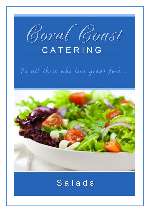

# To all those who love great food ...



# Salads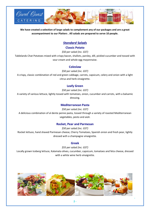

**We have created a selection of large salads to complement any of our packages and are a great accompaniment to our Platters . All salads are prepared to serve 10 people.**

# *Standard Salads*

#### **Classic Potato**

*\$50 per salad (inc. GST)*

Tablelands Chat Potatoes mixed with crispy bacon, shallots, parsley, dill, pickled cucumber and tossed with sour cream and whole egg mayonnaise.

#### **Coleslaw**

*\$50 per salad (inc. GST)*

A crispy, classic combination of red and green cabbage, carrots, capsicum, celery and onion with a light citrus and herb vinaigrette.

#### **Leafy Green**

*\$50 per salad (inc. GST)*

A variety of various lettuce, lightly tossed with tomatoes, onion, cucumber and carrots, with a balsamic dressing.

#### **Mediterranean Pasta**

#### *\$50 per salad (inc. GST)*

A delicious combination of al dente penne pasta, tossed through a variety of roasted Mediterranean vegetables, pesto and aioli.

#### **Rocket, Pear and Parmesan**

*\$50 per salad (inc. GST)* Rocket lettuce, hand shaved Parmesan cheese, Cherry Tomatoes, Spanish onion and fresh pear, lightly dressed with a champagne vinaigrette.

## **Greek**

*\$55 per salad (inc. GST)*

Locally grown Iceberg lettuce, Kalamata olives, cucumber, capsicum, tomatoes and feta cheese, dressed with a white wine herb vinaigrette.



**-**